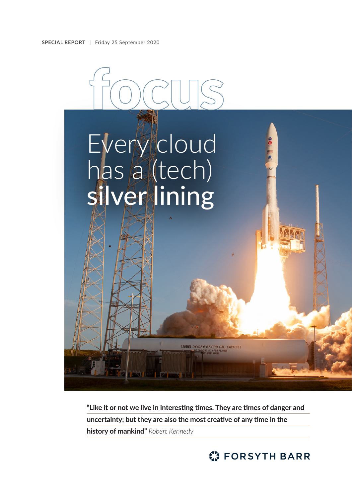

**"Like it or not we live in interesting times. They are times of danger and uncertainty; but they are also the most creative of any time in the history of mankind"** *Robert Kennedy*

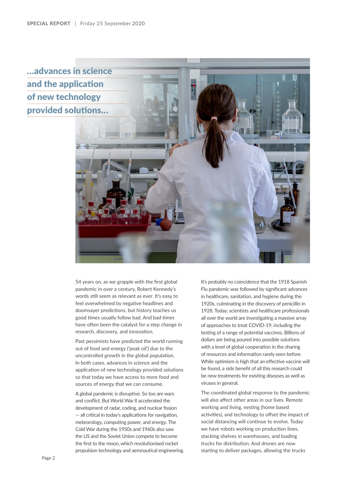…advances in science and the application of new technology provided solutions…



54 years on, as we grapple with the first global pandemic in over a century, Robert Kennedy's words still seem as relevant as ever. It's easy to feel overwhelmed by negative headlines and doomsayer predictions, but history teaches us good times usually follow bad. And bad times have often been the catalyst for a step change in research, discovery, and innovation.

Past pessimists have predicted the world running out of food and energy ('peak oil') due to the uncontrolled growth in the global population. In both cases, advances in science and the application of new technology provided solutions so that today we have access to more food and sources of energy that we can consume.

A global pandemic is disruptive. So too are wars and conflict. But World War II accelerated the development of radar, coding, and nuclear fission — all critical in today's applications for navigation, meteorology, computing power, and energy. The Cold War during the 1950s and 1960s also saw the US and the Soviet Union compete to become the first to the moon, which revolutionised rocket propulsion technology and aeronautical engineering.

It's probably no coincidence that the 1918 Spanish Flu pandemic was followed by significant advances in healthcare, sanitation, and hygiene during the 1920s, culminating in the discovery of penicillin in 1928. Today, scientists and healthcare professionals all over the world are investigating a massive array of approaches to treat COVID-19, including the testing of a range of potential vaccines. Billions of dollars are being poured into possible solutions with a level of global cooperation in the sharing of resources and information rarely seen before. While optimism is high that an effective vaccine will be found, a side benefit of all this research could be new treatments for existing diseases as well as viruses in general.

The coordinated global response to the pandemic will also affect other areas in our lives. Remote working and living, nesting (home based activities), and technology to offset the impact of social distancing will continue to evolve. Today we have robots working on production lines, stacking shelves in warehouses, and loading trucks for distribution. And drones are now starting to deliver packages, allowing the trucks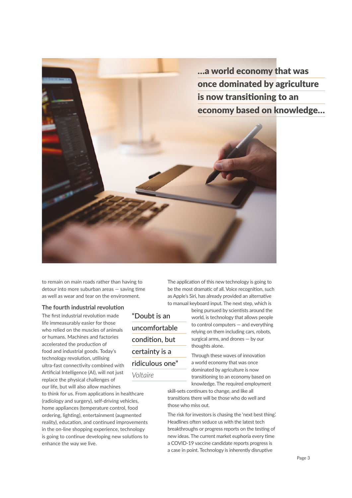

to remain on main roads rather than having to detour into more suburban areas — saving time as well as wear and tear on the environment.

## **The fourth industrial revolution**

The first industrial revolution made life immeasurably easier for those who relied on the muscles of animals or humans. Machines and factories accelerated the production of food and industrial goods. Today's technology revolution, utilising ultra-fast connectivity combined with Artificial Intelligence (AI), will not just replace the physical challenges of our life, but will also allow machines

to think for us. From applications in healthcare (radiology and surgery), self-driving vehicles, home appliances (temperature control, food ordering, lighting), entertainment (augmented reality), education, and continued improvements in the on-line shopping experience, technology is going to continue developing new solutions to enhance the way we live.

"Doubt is an uncomfortable condition, but certainty is a ridiculous one" *Voltaire*

The application of this new technology is going to be the most dramatic of all. Voice recognition, such as Apple's Siri, has already provided an alternative to manual keyboard input. The next step, which is

being pursued by scientists around the world, is technology that allows people to control computers — and everything relying on them including cars, robots, surgical arms, and drones — by our thoughts alone.

Through these waves of innovation a world economy that was once dominated by agriculture is now transitioning to an economy based on knowledge. The required employment

skill-sets continues to change, and like all transitions there will be those who do well and those who miss out.

The risk for investors is chasing the 'next best thing'. Headlines often seduce us with the latest tech breakthroughs or progress reports on the testing of new ideas. The current market euphoria every time a COVID-19 vaccine candidate reports progress is a case in point. Technology is inherently disruptive